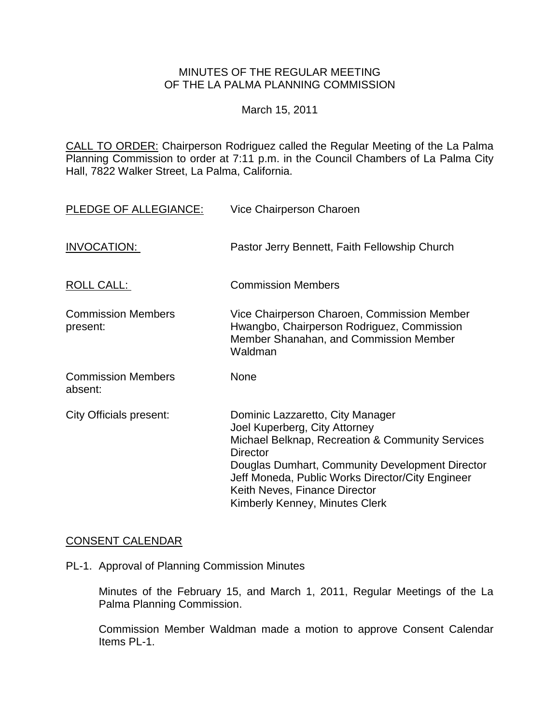## MINUTES OF THE REGULAR MEETING OF THE LA PALMA PLANNING COMMISSION

March 15, 2011

CALL TO ORDER: Chairperson [Rodriguez called the Regular Meeting of the La Palma](http://lapalma.granicus.com/MediaPlayerFrameHandler.php?view_id=&clip_id=559&meta_id=71619)  Planning Commission to order at 7:11 [p.m. in the Council Chambers of La Palma City](http://lapalma.granicus.com/MediaPlayerFrameHandler.php?view_id=&clip_id=559&meta_id=71619)  [Hall, 7822 Walker Street, La Palma, California.](http://lapalma.granicus.com/MediaPlayerFrameHandler.php?view_id=&clip_id=559&meta_id=71619) 

| PLEDGE OF ALLEGIANCE:                 | Vice Chairperson Charoen                                                                                                                                                                                                                                                                                           |
|---------------------------------------|--------------------------------------------------------------------------------------------------------------------------------------------------------------------------------------------------------------------------------------------------------------------------------------------------------------------|
| INVOCATION:                           | Pastor Jerry Bennett, Faith Fellowship Church                                                                                                                                                                                                                                                                      |
| ROLL CALL:                            | <b>Commission Members</b>                                                                                                                                                                                                                                                                                          |
| <b>Commission Members</b><br>present: | Vice Chairperson Charoen, Commission Member<br>Hwangbo, Chairperson Rodriguez, Commission<br>Member Shanahan, and Commission Member<br>Waldman                                                                                                                                                                     |
| <b>Commission Members</b><br>absent:  | None                                                                                                                                                                                                                                                                                                               |
| City Officials present:               | Dominic Lazzaretto, City Manager<br>Joel Kuperberg, City Attorney<br>Michael Belknap, Recreation & Community Services<br><b>Director</b><br>Douglas Dumhart, Community Development Director<br>Jeff Moneda, Public Works Director/City Engineer<br>Keith Neves, Finance Director<br>Kimberly Kenney, Minutes Clerk |

# [CONSENT CALENDAR](http://lapalma.granicus.com/MediaPlayerFrameHandler.php?view_id=&clip_id=559&meta_id=71637)

PL-1. Approval of Planning Commission Minutes

Minutes of the February 15, and March 1, 2011, Regular Meetings of the La Palma Planning Commission.

Commission Member Waldman made a motion to approve Consent Calendar Items PL-1.